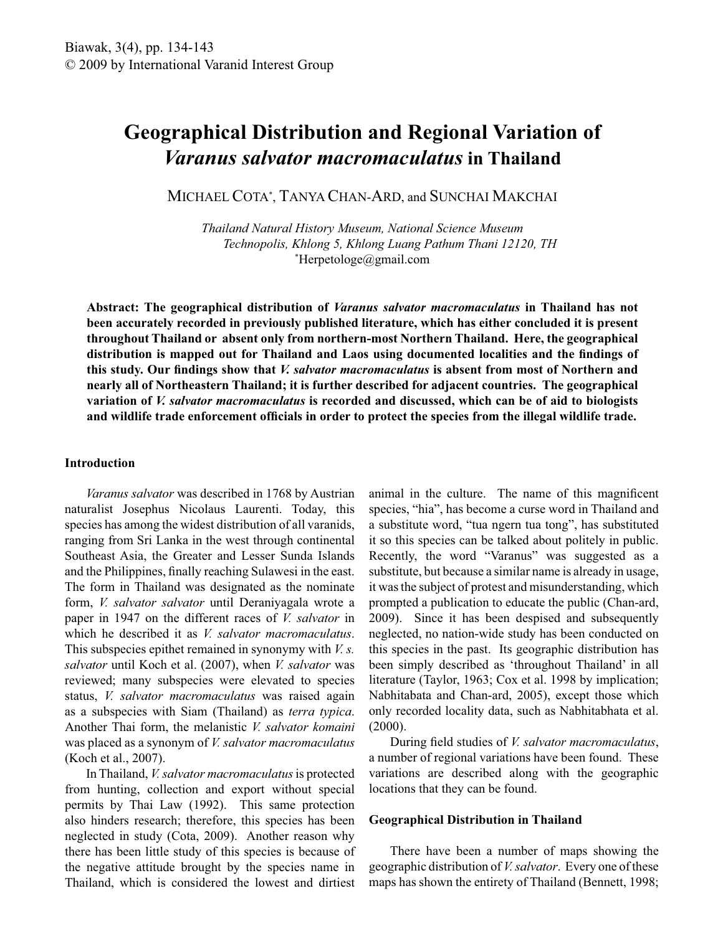# **Geographical Distribution and Regional Variation of**  *Varanus salvator macromaculatus* **in Thailand**

MICHAEL COTA\* , TANYA CHAN-ARD, and SUNCHAI MAKCHAI

*Thailand Natural History Museum, National Science Museum Technopolis, Khlong 5, Khlong Luang Pathum Thani 12120, TH* \*Herpetologe@gmail.com

**Abstract: The geographical distribution of** *Varanus salvator macromaculatus* **in Thailand has not been accurately recorded in previously published literature, which has either concluded it is present throughout Thailand or absent only from northern-most Northern Thailand. Here, the geographical distribution is mapped out for Thailand and Laos using documented localities and the findings of this study. Our findings show that** *V. salvator macromaculatus* **is absent from most of Northern and nearly all of Northeastern Thailand; it is further described for adjacent countries. The geographical variation of** *V. salvator macromaculatus* **is recorded and discussed, which can be of aid to biologists and wildlife trade enforcement officials in order to protect the species from the illegal wildlife trade.**

#### **Introduction**

 *Varanus salvator* was described in 1768 by Austrian naturalist Josephus Nicolaus Laurenti. Today, this species has among the widest distribution of all varanids, ranging from Sri Lanka in the west through continental Southeast Asia, the Greater and Lesser Sunda Islands and the Philippines, finally reaching Sulawesi in the east. The form in Thailand was designated as the nominate form, *V. salvator salvator* until Deraniyagala wrote a paper in 1947 on the different races of *V. salvator* in which he described it as *V. salvator macromaculatus*. This subspecies epithet remained in synonymy with *V. s. salvator* until Koch et al. (2007), when *V. salvator* was reviewed; many subspecies were elevated to species status, *V. salvator macromaculatus* was raised again as a subspecies with Siam (Thailand) as *terra typica*. Another Thai form, the melanistic *V. salvator komaini*  was placed as a synonym of *V. salvator macromaculatus*  (Koch et al., 2007).

 In Thailand, *V. salvator macromaculatus* is protected from hunting, collection and export without special permits by Thai Law (1992). This same protection also hinders research; therefore, this species has been neglected in study (Cota, 2009). Another reason why there has been little study of this species is because of the negative attitude brought by the species name in Thailand, which is considered the lowest and dirtiest animal in the culture. The name of this magnificent species, "hia", has become a curse word in Thailand and a substitute word, "tua ngern tua tong", has substituted it so this species can be talked about politely in public. Recently, the word "Varanus" was suggested as a substitute, but because a similar name is already in usage, it was the subject of protest and misunderstanding, which prompted a publication to educate the public (Chan-ard, 2009). Since it has been despised and subsequently neglected, no nation-wide study has been conducted on this species in the past. Its geographic distribution has been simply described as 'throughout Thailand' in all literature (Taylor, 1963; Cox et al. 1998 by implication; Nabhitabata and Chan-ard, 2005), except those which only recorded locality data, such as Nabhitabhata et al. (2000).

 During field studies of *V. salvator macromaculatus*, a number of regional variations have been found. These variations are described along with the geographic locations that they can be found.

### **Geographical Distribution in Thailand**

 There have been a number of maps showing the geographic distribution of *V. salvator*. Every one of these maps has shown the entirety of Thailand (Bennett, 1998;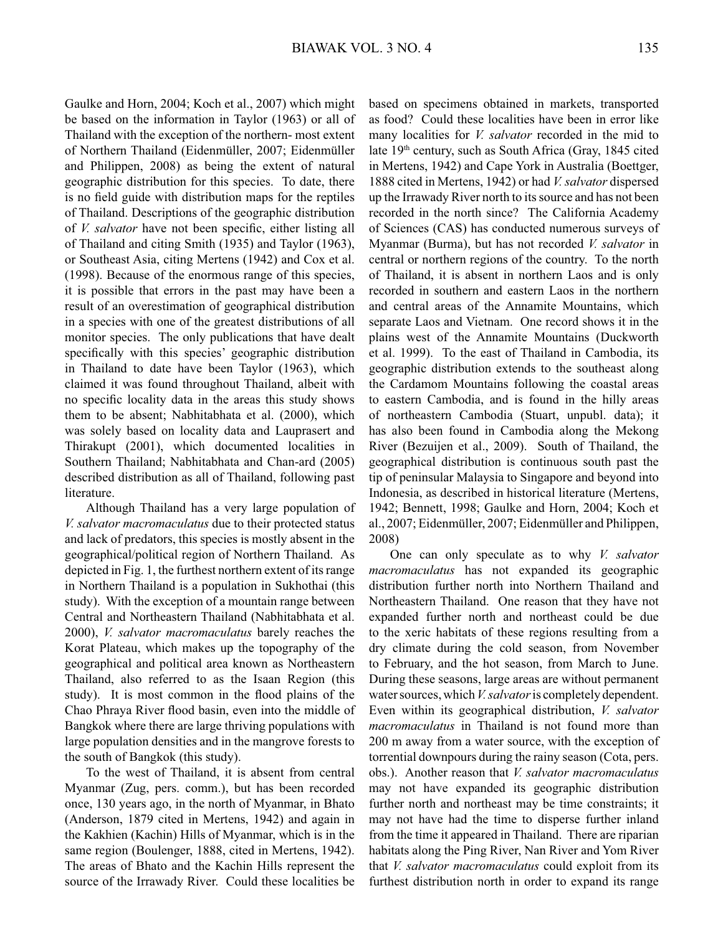Gaulke and Horn, 2004; Koch et al., 2007) which might be based on the information in Taylor (1963) or all of Thailand with the exception of the northern- most extent of Northern Thailand (Eidenmüller, 2007; Eidenmüller and Philippen, 2008) as being the extent of natural geographic distribution for this species. To date, there is no field guide with distribution maps for the reptiles of Thailand. Descriptions of the geographic distribution of *V. salvator* have not been specific, either listing all of Thailand and citing Smith (1935) and Taylor (1963), or Southeast Asia, citing Mertens (1942) and Cox et al. (1998). Because of the enormous range of this species, it is possible that errors in the past may have been a result of an overestimation of geographical distribution in a species with one of the greatest distributions of all monitor species. The only publications that have dealt specifically with this species' geographic distribution in Thailand to date have been Taylor (1963), which claimed it was found throughout Thailand, albeit with no specific locality data in the areas this study shows them to be absent; Nabhitabhata et al. (2000), which was solely based on locality data and Lauprasert and Thirakupt (2001), which documented localities in Southern Thailand; Nabhitabhata and Chan-ard (2005) described distribution as all of Thailand, following past literature.

 Although Thailand has a very large population of *V. salvator macromaculatus* due to their protected status and lack of predators, this species is mostly absent in the geographical/political region of Northern Thailand. As depicted in Fig. 1, the furthest northern extent of its range in Northern Thailand is a population in Sukhothai (this study). With the exception of a mountain range between Central and Northeastern Thailand (Nabhitabhata et al. 2000), *V. salvator macromaculatus* barely reaches the Korat Plateau, which makes up the topography of the geographical and political area known as Northeastern Thailand, also referred to as the Isaan Region (this study). It is most common in the flood plains of the Chao Phraya River flood basin, even into the middle of Bangkok where there are large thriving populations with large population densities and in the mangrove forests to the south of Bangkok (this study).

 To the west of Thailand, it is absent from central Myanmar (Zug, pers. comm.), but has been recorded once, 130 years ago, in the north of Myanmar, in Bhato (Anderson, 1879 cited in Mertens, 1942) and again in the Kakhien (Kachin) Hills of Myanmar, which is in the same region (Boulenger, 1888, cited in Mertens, 1942). The areas of Bhato and the Kachin Hills represent the source of the Irrawady River. Could these localities be

based on specimens obtained in markets, transported as food? Could these localities have been in error like many localities for *V. salvator* recorded in the mid to late 19<sup>th</sup> century, such as South Africa (Gray, 1845 cited in Mertens, 1942) and Cape York in Australia (Boettger, 1888 cited in Mertens, 1942) or had *V. salvator* dispersed up the Irrawady River north to its source and has not been recorded in the north since? The California Academy of Sciences (CAS) has conducted numerous surveys of Myanmar (Burma), but has not recorded *V. salvator* in central or northern regions of the country. To the north of Thailand, it is absent in northern Laos and is only recorded in southern and eastern Laos in the northern and central areas of the Annamite Mountains, which separate Laos and Vietnam. One record shows it in the plains west of the Annamite Mountains (Duckworth et al. 1999). To the east of Thailand in Cambodia, its geographic distribution extends to the southeast along the Cardamom Mountains following the coastal areas to eastern Cambodia, and is found in the hilly areas of northeastern Cambodia (Stuart, unpubl. data); it has also been found in Cambodia along the Mekong River (Bezuijen et al., 2009). South of Thailand, the geographical distribution is continuous south past the tip of peninsular Malaysia to Singapore and beyond into Indonesia, as described in historical literature (Mertens, 1942; Bennett, 1998; Gaulke and Horn, 2004; Koch et al., 2007; Eidenmüller, 2007; Eidenmüller and Philippen, 2008)

 One can only speculate as to why *V. salvator macromaculatus* has not expanded its geographic distribution further north into Northern Thailand and Northeastern Thailand. One reason that they have not expanded further north and northeast could be due to the xeric habitats of these regions resulting from a dry climate during the cold season, from November to February, and the hot season, from March to June. During these seasons, large areas are without permanent water sources, which *V. salvator* is completely dependent. Even within its geographical distribution, *V. salvator macromaculatus* in Thailand is not found more than 200 m away from a water source, with the exception of torrential downpours during the rainy season (Cota, pers. obs.). Another reason that *V. salvator macromaculatus*  may not have expanded its geographic distribution further north and northeast may be time constraints; it may not have had the time to disperse further inland from the time it appeared in Thailand. There are riparian habitats along the Ping River, Nan River and Yom River that *V. salvator macromaculatus* could exploit from its furthest distribution north in order to expand its range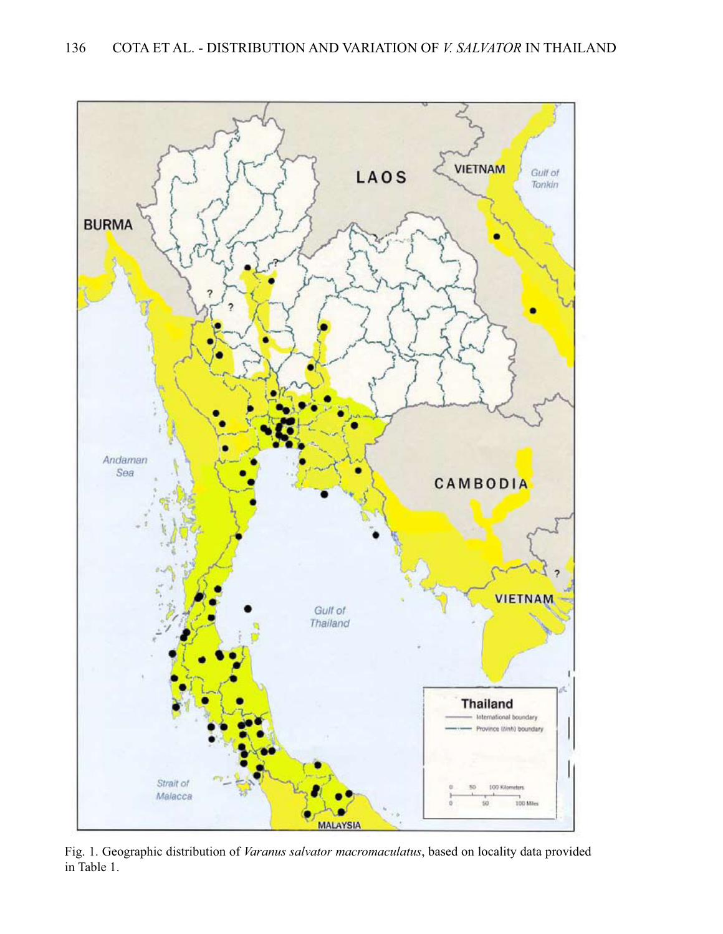

Fig. 1. Geographic distribution of *Varanus salvator macromaculatus*, based on locality data provided in Table 1.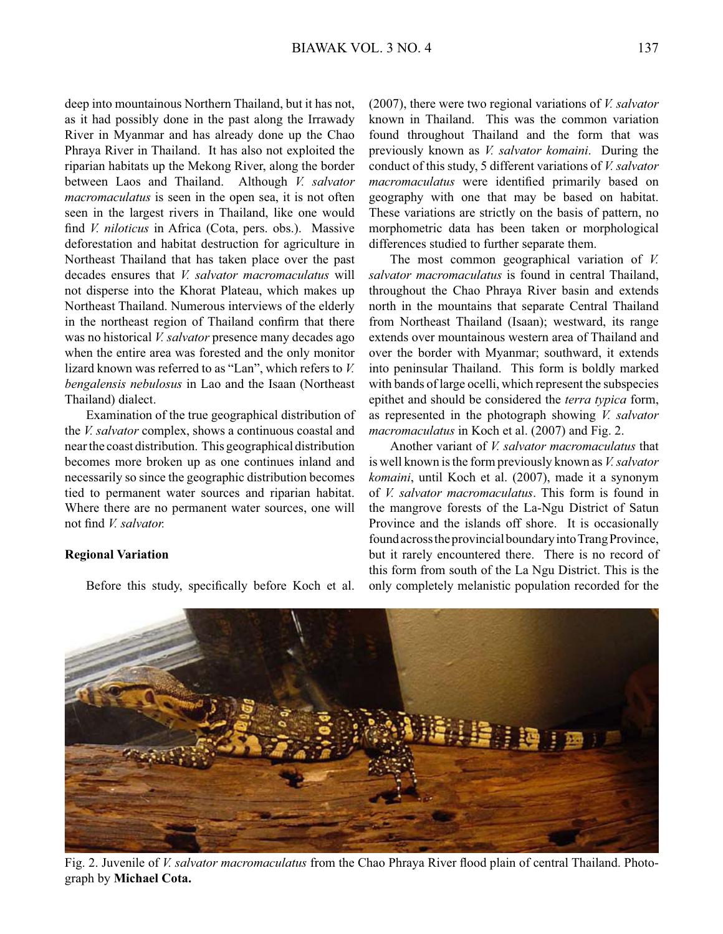deep into mountainous Northern Thailand, but it has not, as it had possibly done in the past along the Irrawady River in Myanmar and has already done up the Chao Phraya River in Thailand. It has also not exploited the riparian habitats up the Mekong River, along the border between Laos and Thailand. Although *V. salvator macromaculatus* is seen in the open sea, it is not often seen in the largest rivers in Thailand, like one would find *V. niloticus* in Africa (Cota, pers. obs.). Massive deforestation and habitat destruction for agriculture in Northeast Thailand that has taken place over the past decades ensures that *V. salvator macromaculatus* will not disperse into the Khorat Plateau, which makes up Northeast Thailand. Numerous interviews of the elderly in the northeast region of Thailand confirm that there was no historical *V. salvator* presence many decades ago when the entire area was forested and the only monitor lizard known was referred to as "Lan", which refers to *V. bengalensis nebulosus* in Lao and the Isaan (Northeast Thailand) dialect.

 Examination of the true geographical distribution of the *V. salvator* complex, shows a continuous coastal and near the coast distribution. This geographical distribution becomes more broken up as one continues inland and necessarily so since the geographic distribution becomes tied to permanent water sources and riparian habitat. Where there are no permanent water sources, one will not find *V. salvator.*

### **Regional Variation**

Before this study, specifically before Koch et al.

(2007), there were two regional variations of *V. salvator*  known in Thailand. This was the common variation found throughout Thailand and the form that was previously known as *V. salvator komaini*. During the conduct of this study, 5 different variations of *V. salvator macromaculatus* were identified primarily based on geography with one that may be based on habitat. These variations are strictly on the basis of pattern, no morphometric data has been taken or morphological differences studied to further separate them.

 The most common geographical variation of *V. salvator macromaculatus* is found in central Thailand, throughout the Chao Phraya River basin and extends north in the mountains that separate Central Thailand from Northeast Thailand (Isaan); westward, its range extends over mountainous western area of Thailand and over the border with Myanmar; southward, it extends into peninsular Thailand. This form is boldly marked with bands of large ocelli, which represent the subspecies epithet and should be considered the *terra typica* form, as represented in the photograph showing *V. salvator macromaculatus* in Koch et al. (2007) and Fig. 2.

 Another variant of *V. salvator macromaculatus* that is well known is the form previously known as *V. salvator komaini*, until Koch et al. (2007), made it a synonym of *V. salvator macromaculatus*. This form is found in the mangrove forests of the La-Ngu District of Satun Province and the islands off shore. It is occasionally found across the provincial boundary into Trang Province, but it rarely encountered there. There is no record of this form from south of the La Ngu District. This is the only completely melanistic population recorded for the



Fig. 2. Juvenile of *V. salvator macromaculatus* from the Chao Phraya River flood plain of central Thailand. Photograph by **Michael Cota.**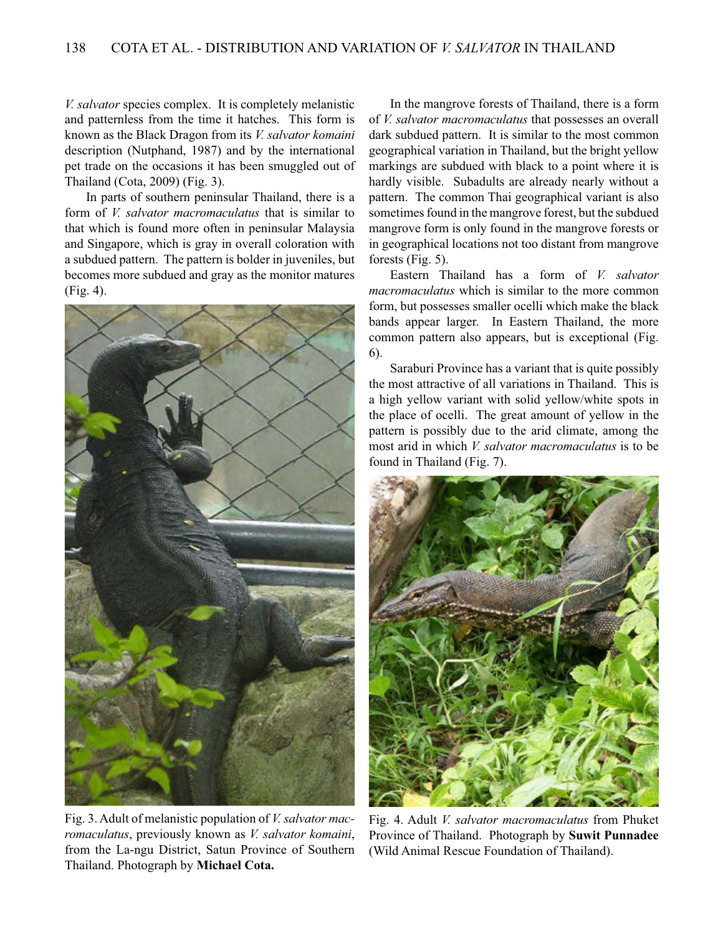*V. salvator* species complex. It is completely melanistic and patternless from the time it hatches. This form is known as the Black Dragon from its *V. salvator komaini*  description (Nutphand, 1987) and by the international pet trade on the occasions it has been smuggled out of Thailand (Cota, 2009) (Fig. 3).

 In parts of southern peninsular Thailand, there is a form of *V. salvator macromaculatus* that is similar to that which is found more often in peninsular Malaysia and Singapore, which is gray in overall coloration with a subdued pattern. The pattern is bolder in juveniles, but becomes more subdued and gray as the monitor matures (Fig. 4).



Fig. 3. Adult of melanistic population of *V. salvator macromaculatus*, previously known as *V. salvator komaini*, from the La-ngu District, Satun Province of Southern Thailand. Photograph by **Michael Cota.**

 In the mangrove forests of Thailand, there is a form of *V. salvator macromaculatus* that possesses an overall dark subdued pattern. It is similar to the most common geographical variation in Thailand, but the bright yellow markings are subdued with black to a point where it is hardly visible. Subadults are already nearly without a pattern. The common Thai geographical variant is also sometimes found in the mangrove forest, but the subdued mangrove form is only found in the mangrove forests or in geographical locations not too distant from mangrove forests (Fig. 5).

 Eastern Thailand has a form of *V. salvator macromaculatus* which is similar to the more common form, but possesses smaller ocelli which make the black bands appear larger. In Eastern Thailand, the more common pattern also appears, but is exceptional (Fig. 6).

 Saraburi Province has a variant that is quite possibly the most attractive of all variations in Thailand. This is a high yellow variant with solid yellow/white spots in the place of ocelli. The great amount of yellow in the pattern is possibly due to the arid climate, among the most arid in which *V. salvator macromaculatus* is to be found in Thailand (Fig. 7).



Fig. 4. Adult *V. salvator macromaculatus* from Phuket Province of Thailand. Photograph by **Suwit Punnadee** (Wild Animal Rescue Foundation of Thailand).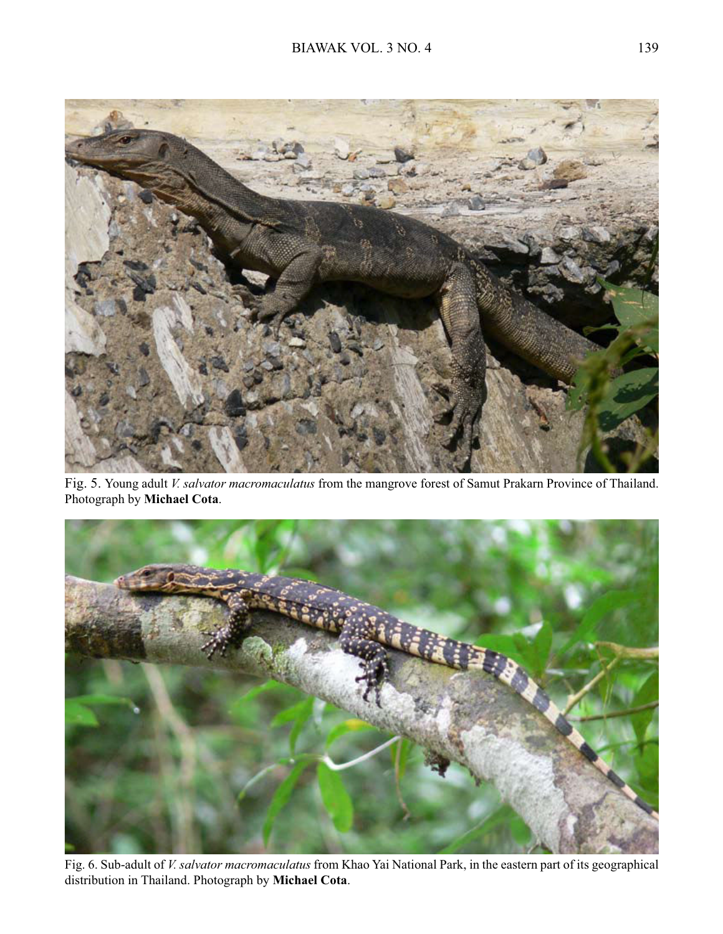

Fig. 5. Young adult *V. salvator macromaculatus* from the mangrove forest of Samut Prakarn Province of Thailand. Photograph by **Michael Cota**.



Fig. 6. Sub-adult of *V. salvator macromaculatus* from Khao Yai National Park, in the eastern part of its geographical distribution in Thailand. Photograph by **Michael Cota**.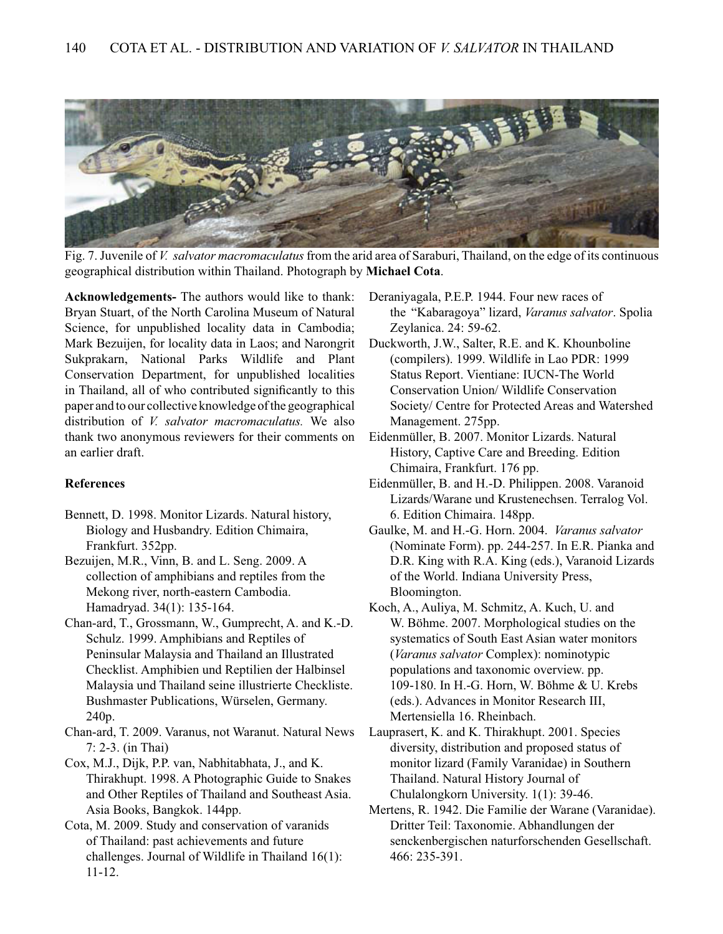

Fig. 7. Juvenile of *V. salvator macromaculatus* from the arid area of Saraburi, Thailand, on the edge of its continuous geographical distribution within Thailand. Photograph by **Michael Cota**.

**Acknowledgements-** The authors would like to thank: Bryan Stuart, of the North Carolina Museum of Natural Science, for unpublished locality data in Cambodia; Mark Bezuijen, for locality data in Laos; and Narongrit Sukprakarn, National Parks Wildlife and Plant Conservation Department, for unpublished localities in Thailand, all of who contributed significantly to this paper and to our collective knowledge of the geographical distribution of *V. salvator macromaculatus.* We also thank two anonymous reviewers for their comments on an earlier draft.

## **References**

- Bennett, D. 1998. Monitor Lizards. Natural history, Biology and Husbandry. Edition Chimaira, Frankfurt. 352pp.
- Bezuijen, M.R., Vinn, B. and L. Seng. 2009. A collection of amphibians and reptiles from the Mekong river, north-eastern Cambodia. Hamadryad. 34(1): 135-164.
- Chan-ard, T., Grossmann, W., Gumprecht, A. and K.-D. Schulz. 1999. Amphibians and Reptiles of Peninsular Malaysia and Thailand an Illustrated Checklist. Amphibien und Reptilien der Halbinsel Malaysia und Thailand seine illustrierte Checkliste. Bushmaster Publications, Würselen, Germany. 240p.
- Chan-ard, T. 2009. Varanus, not Waranut. Natural News 7: 2-3. (in Thai)
- Cox, M.J., Dijk, P.P. van, Nabhitabhata, J., and K. Thirakhupt. 1998. A Photographic Guide to Snakes and Other Reptiles of Thailand and Southeast Asia. Asia Books, Bangkok. 144pp.
- Cota, M. 2009. Study and conservation of varanids of Thailand: past achievements and future challenges. Journal of Wildlife in Thailand 16(1): 11-12.
- Deraniyagala, P.E.P. 1944. Four new races of the "Kabaragoya" lizard, *Varanus salvator*. Spolia Zeylanica. 24: 59-62.
- Duckworth, J.W., Salter, R.E. and K. Khounboline (compilers). 1999. Wildlife in Lao PDR: 1999 Status Report. Vientiane: IUCN-The World Conservation Union/ Wildlife Conservation Society/ Centre for Protected Areas and Watershed Management. 275pp.
- Eidenmüller, B. 2007. Monitor Lizards. Natural History, Captive Care and Breeding. Edition Chimaira, Frankfurt. 176 pp.
- Eidenmüller, B. and H.-D. Philippen. 2008. Varanoid Lizards/Warane und Krustenechsen. Terralog Vol. 6. Edition Chimaira. 148pp.
- Gaulke, M. and H.-G. Horn. 2004. *Varanus salvator*  (Nominate Form). pp. 244-257. In E.R. Pianka and D.R. King with R.A. King (eds.), Varanoid Lizards of the World. Indiana University Press, Bloomington.
- Koch, A., Auliya, M. Schmitz, A. Kuch, U. and W. Böhme. 2007. Morphological studies on the systematics of South East Asian water monitors (*Varanus salvator* Complex): nominotypic populations and taxonomic overview. pp. 109-180. In H.-G. Horn, W. Böhme & U. Krebs (eds.). Advances in Monitor Research III, Mertensiella 16. Rheinbach.
- Lauprasert, K. and K. Thirakhupt. 2001. Species diversity, distribution and proposed status of monitor lizard (Family Varanidae) in Southern Thailand. Natural History Journal of Chulalongkorn University. 1(1): 39-46.
- Mertens, R. 1942. Die Familie der Warane (Varanidae). Dritter Teil: Taxonomie. Abhandlungen der senckenbergischen naturforschenden Gesellschaft. 466: 235-391.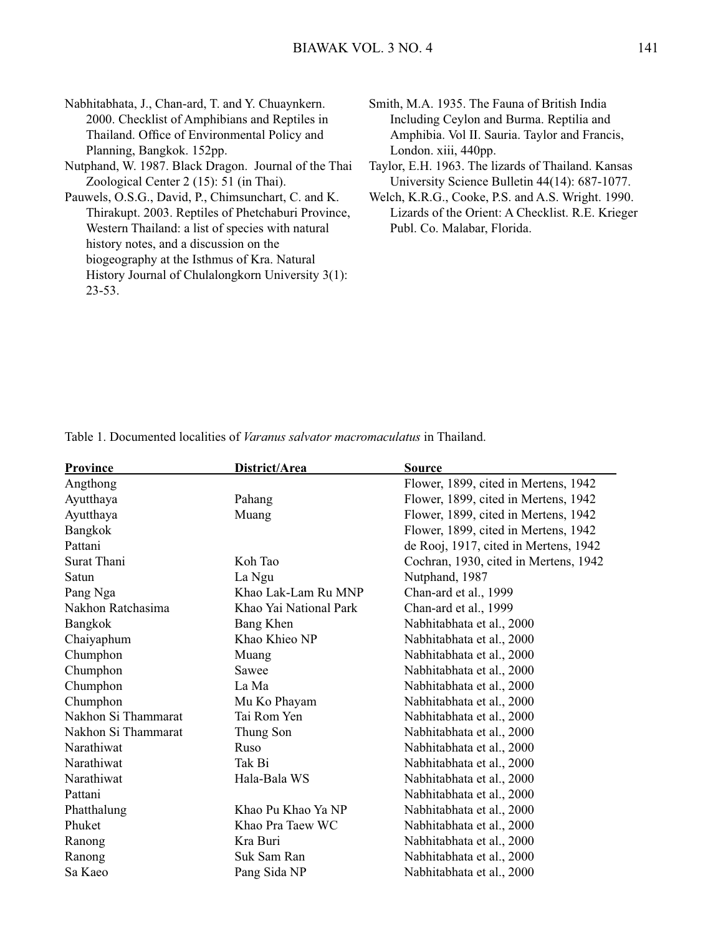Nabhitabhata, J., Chan-ard, T. and Y. Chuaynkern. 2000. Checklist of Amphibians and Reptiles in Thailand. Office of Environmental Policy and Planning, Bangkok. 152pp.

- Nutphand, W. 1987. Black Dragon. Journal of the Thai Zoological Center 2 (15): 51 (in Thai).
- Pauwels, O.S.G., David, P., Chimsunchart, C. and K. Thirakupt. 2003. Reptiles of Phetchaburi Province, Western Thailand: a list of species with natural history notes, and a discussion on the biogeography at the Isthmus of Kra. Natural History Journal of Chulalongkorn University 3(1): 23-53.

Smith, M.A. 1935. The Fauna of British India Including Ceylon and Burma. Reptilia and Amphibia. Vol II. Sauria. Taylor and Francis, London. xiii, 440pp.

Taylor, E.H. 1963. The lizards of Thailand. Kansas University Science Bulletin 44(14): 687-1077.

Welch, K.R.G., Cooke, P.S. and A.S. Wright. 1990. Lizards of the Orient: A Checklist. R.E. Krieger Publ. Co. Malabar, Florida.

| <b>Province</b>     | District/Area          | <b>Source</b>                         |
|---------------------|------------------------|---------------------------------------|
| Angthong            |                        | Flower, 1899, cited in Mertens, 1942  |
| Ayutthaya           | Pahang                 | Flower, 1899, cited in Mertens, 1942  |
| Ayutthaya           | Muang                  | Flower, 1899, cited in Mertens, 1942  |
| Bangkok             |                        | Flower, 1899, cited in Mertens, 1942  |
| Pattani             |                        | de Rooj, 1917, cited in Mertens, 1942 |
| Surat Thani         | Koh Tao                | Cochran, 1930, cited in Mertens, 1942 |
| Satun               | La Ngu                 | Nutphand, 1987                        |
| Pang Nga            | Khao Lak-Lam Ru MNP    | Chan-ard et al., 1999                 |
| Nakhon Ratchasima   | Khao Yai National Park | Chan-ard et al., 1999                 |
| Bangkok             | Bang Khen              | Nabhitabhata et al., 2000             |
| Chaiyaphum          | Khao Khieo NP          | Nabhitabhata et al., 2000             |
| Chumphon            | Muang                  | Nabhitabhata et al., 2000             |
| Chumphon            | Sawee                  | Nabhitabhata et al., 2000             |
| Chumphon            | La Ma                  | Nabhitabhata et al., 2000             |
| Chumphon            | Mu Ko Phayam           | Nabhitabhata et al., 2000             |
| Nakhon Si Thammarat | Tai Rom Yen            | Nabhitabhata et al., 2000             |
| Nakhon Si Thammarat | Thung Son              | Nabhitabhata et al., 2000             |
| Narathiwat          | Ruso                   | Nabhitabhata et al., 2000             |
| Narathiwat          | Tak Bi                 | Nabhitabhata et al., 2000             |
| Narathiwat          | Hala-Bala WS           | Nabhitabhata et al., 2000             |
| Pattani             |                        | Nabhitabhata et al., 2000             |
| Phatthalung         | Khao Pu Khao Ya NP     | Nabhitabhata et al., 2000             |
| Phuket              | Khao Pra Taew WC       | Nabhitabhata et al., 2000             |
| Ranong              | Kra Buri               | Nabhitabhata et al., 2000             |
| Ranong              | Suk Sam Ran            | Nabhitabhata et al., 2000             |
| Sa Kaeo             | Pang Sida NP           | Nabhitabhata et al., 2000             |

Table 1. Documented localities of *Varanus salvator macromaculatus* in Thailand.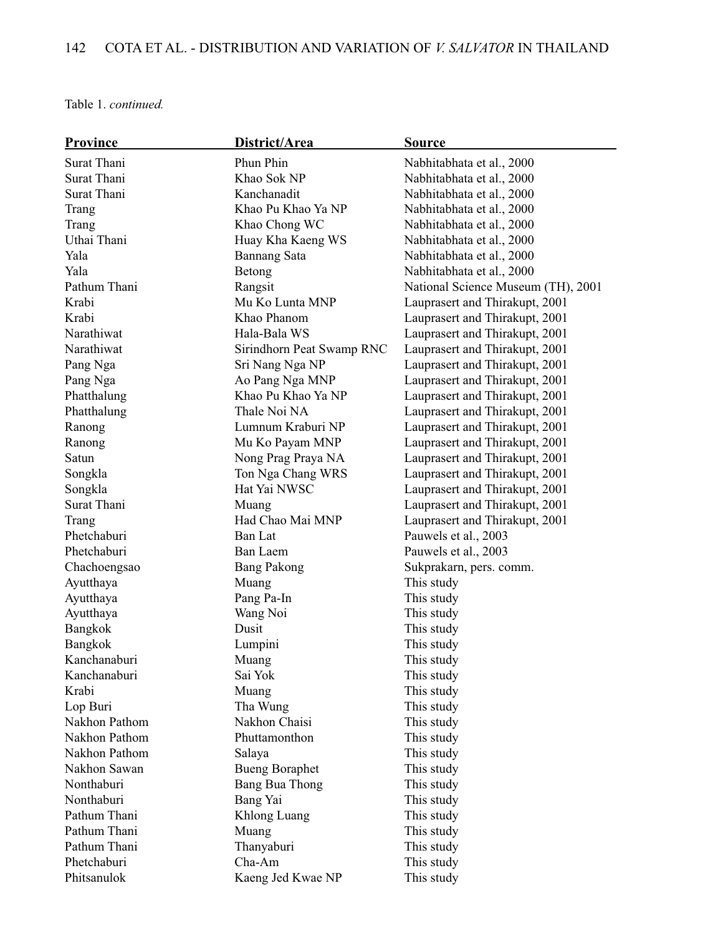Table 1. *continued.*

| <b>Province</b> | District/Area             | <b>Source</b>                      |
|-----------------|---------------------------|------------------------------------|
| Surat Thani     | Phun Phin                 | Nabhitabhata et al., 2000          |
| Surat Thani     | Khao Sok NP               | Nabhitabhata et al., 2000          |
| Surat Thani     | Kanchanadit               | Nabhitabhata et al., 2000          |
| Trang           | Khao Pu Khao Ya NP        | Nabhitabhata et al., 2000          |
| Trang           | Khao Chong WC             | Nabhitabhata et al., 2000          |
| Uthai Thani     | Huay Kha Kaeng WS         | Nabhitabhata et al., 2000          |
| Yala            | <b>Bannang Sata</b>       | Nabhitabhata et al., 2000          |
| Yala            | Betong                    | Nabhitabhata et al., 2000          |
| Pathum Thani    | Rangsit                   | National Science Museum (TH), 2001 |
| Krabi           | Mu Ko Lunta MNP           | Lauprasert and Thirakupt, 2001     |
| Krabi           | Khao Phanom               | Lauprasert and Thirakupt, 2001     |
| Narathiwat      | Hala-Bala WS              | Lauprasert and Thirakupt, 2001     |
| Narathiwat      | Sirindhorn Peat Swamp RNC | Lauprasert and Thirakupt, 2001     |
| Pang Nga        | Sri Nang Nga NP           | Lauprasert and Thirakupt, 2001     |
| Pang Nga        | Ao Pang Nga MNP           | Lauprasert and Thirakupt, 2001     |
| Phatthalung     | Khao Pu Khao Ya NP        | Lauprasert and Thirakupt, 2001     |
| Phatthalung     | Thale Noi NA              | Lauprasert and Thirakupt, 2001     |
| Ranong          | Lumnum Kraburi NP         | Lauprasert and Thirakupt, 2001     |
| Ranong          | Mu Ko Payam MNP           | Lauprasert and Thirakupt, 2001     |
| Satun           | Nong Prag Praya NA        | Lauprasert and Thirakupt, 2001     |
| Songkla         | Ton Nga Chang WRS         | Lauprasert and Thirakupt, 2001     |
| Songkla         | Hat Yai NWSC              | Lauprasert and Thirakupt, 2001     |
| Surat Thani     | Muang                     | Lauprasert and Thirakupt, 2001     |
| Trang           | Had Chao Mai MNP          | Lauprasert and Thirakupt, 2001     |
| Phetchaburi     | <b>Ban Lat</b>            | Pauwels et al., 2003               |
| Phetchaburi     | <b>Ban Laem</b>           | Pauwels et al., 2003               |
| Chachoengsao    | <b>Bang Pakong</b>        | Sukprakarn, pers. comm.            |
| Ayutthaya       | Muang                     | This study                         |
| Ayutthaya       | Pang Pa-In                | This study                         |
| Ayutthaya       | Wang Noi                  | This study                         |
| Bangkok         | Dusit                     | This study                         |
| Bangkok         | Lumpini                   | This study                         |
| Kanchanaburi    | Muang                     | This study                         |
| Kanchanaburi    | Sai Yok                   | This study                         |
| Krabi           | Muang                     | This study                         |
| Lop Buri        | Tha Wung                  | This study                         |
| Nakhon Pathom   | Nakhon Chaisi             | This study                         |
| Nakhon Pathom   | Phuttamonthon             | This study                         |
| Nakhon Pathom   | Salaya                    | This study                         |
| Nakhon Sawan    | <b>Bueng Boraphet</b>     | This study                         |
| Nonthaburi      | <b>Bang Bua Thong</b>     | This study                         |
| Nonthaburi      | Bang Yai                  | This study                         |
| Pathum Thani    | Khlong Luang              | This study                         |
| Pathum Thani    | Muang                     | This study                         |
| Pathum Thani    | Thanyaburi                | This study                         |
| Phetchaburi     | Cha-Am                    | This study                         |
| Phitsanulok     | Kaeng Jed Kwae NP         | This study                         |
|                 |                           |                                    |